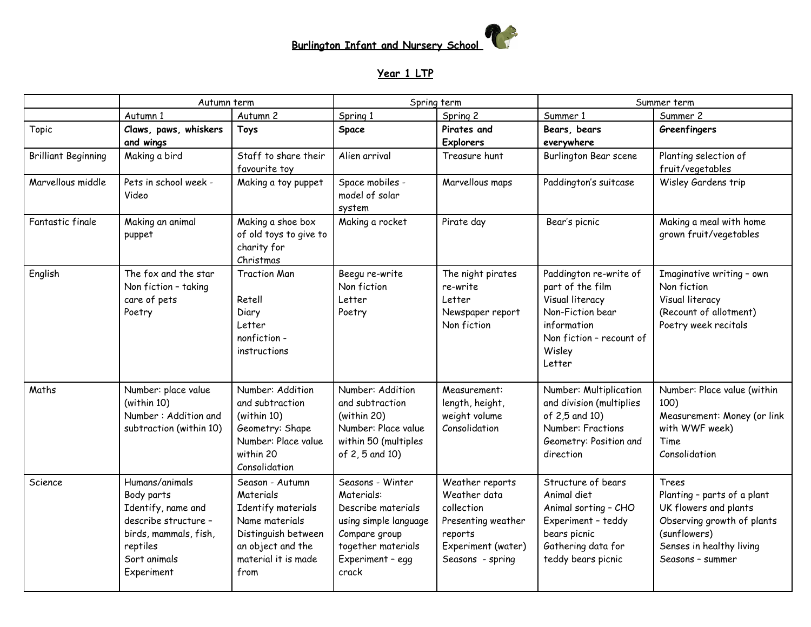

## **Year 1 LTP**

|                            | Autumn term                                                                                                                                   |                                                                                                                                                 | Spring term                                                                                                                                       |                                                                                                                          | Summer term                                                                                                                                      |                                                                                                                                                             |
|----------------------------|-----------------------------------------------------------------------------------------------------------------------------------------------|-------------------------------------------------------------------------------------------------------------------------------------------------|---------------------------------------------------------------------------------------------------------------------------------------------------|--------------------------------------------------------------------------------------------------------------------------|--------------------------------------------------------------------------------------------------------------------------------------------------|-------------------------------------------------------------------------------------------------------------------------------------------------------------|
|                            | Autumn 1                                                                                                                                      | Autumn 2                                                                                                                                        | Spring 1                                                                                                                                          | Spring 2                                                                                                                 | Summer 1                                                                                                                                         | Summer 2                                                                                                                                                    |
| Topic                      | Claws, paws, whiskers<br>and wings                                                                                                            | <b>Toys</b>                                                                                                                                     | Space                                                                                                                                             | Pirates and<br><b>Explorers</b>                                                                                          | Bears, bears<br>everywhere                                                                                                                       | Greenfingers                                                                                                                                                |
| <b>Brilliant Beginning</b> | Making a bird                                                                                                                                 | Staff to share their<br>favourite toy                                                                                                           | Alien arrival                                                                                                                                     | Treasure hunt                                                                                                            | Burlington Bear scene                                                                                                                            | Planting selection of<br>fruit/vegetables                                                                                                                   |
| Marvellous middle          | Pets in school week -<br>Video                                                                                                                | Making a toy puppet                                                                                                                             | Space mobiles -<br>model of solar<br>system                                                                                                       | Marvellous maps                                                                                                          | Paddington's suitcase                                                                                                                            | Wisley Gardens trip                                                                                                                                         |
| Fantastic finale           | Making an animal<br>puppet                                                                                                                    | Making a shoe box<br>of old toys to give to<br>charity for<br>Christmas                                                                         | Making a rocket                                                                                                                                   | Pirate day                                                                                                               | Bear's picnic                                                                                                                                    | Making a meal with home<br>grown fruit/vegetables                                                                                                           |
| English                    | The fox and the star<br>Non fiction - taking<br>care of pets<br>Poetry                                                                        | <b>Traction Man</b><br>Retell<br>Diary<br>Letter<br>nonfiction -<br>instructions                                                                | Beegu re-write<br>Non fiction<br>Letter<br>Poetry                                                                                                 | The night pirates<br>re-write<br>Letter<br>Newspaper report<br>Non fiction                                               | Paddington re-write of<br>part of the film<br>Visual literacy<br>Non-Fiction bear<br>information<br>Non fiction - recount of<br>Wisley<br>Letter | Imaginative writing - own<br>Non fiction<br>Visual literacy<br>(Recount of allotment)<br>Poetry week recitals                                               |
| Maths                      | Number: place value<br>(within 10)<br>Number: Addition and<br>subtraction (within 10)                                                         | Number: Addition<br>and subtraction<br>(within 10)<br>Geometry: Shape<br>Number: Place value<br>within 20<br>Consolidation                      | Number: Addition<br>and subtraction<br>(within 20)<br>Number: Place value<br>within 50 (multiples<br>of 2, 5 and 10)                              | Measurement:<br>length, height,<br>weight volume<br>Consolidation                                                        | Number: Multiplication<br>and division (multiplies<br>of 2,5 and 10)<br>Number: Fractions<br>Geometry: Position and<br>direction                 | Number: Place value (within<br>100)<br>Measurement: Money (or link<br>with WWF week)<br>Time<br>Consolidation                                               |
| Science                    | Humans/animals<br>Body parts<br>Identify, name and<br>describe structure -<br>birds, mammals, fish,<br>reptiles<br>Sort animals<br>Experiment | Season - Autumn<br>Materials<br>Identify materials<br>Name materials<br>Distinguish between<br>an object and the<br>material it is made<br>from | Seasons - Winter<br>Materials:<br>Describe materials<br>using simple language<br>Compare group<br>together materials<br>Experiment - egg<br>crack | Weather reports<br>Weather data<br>collection<br>Presenting weather<br>reports<br>Experiment (water)<br>Seasons - spring | Structure of bears<br>Animal diet<br>Animal sorting - CHO<br>Experiment - teddy<br>bears picnic<br>Gathering data for<br>teddy bears picnic      | Trees<br>Planting - parts of a plant<br>UK flowers and plants<br>Observing growth of plants<br>(sunflowers)<br>Senses in healthy living<br>Seasons - summer |